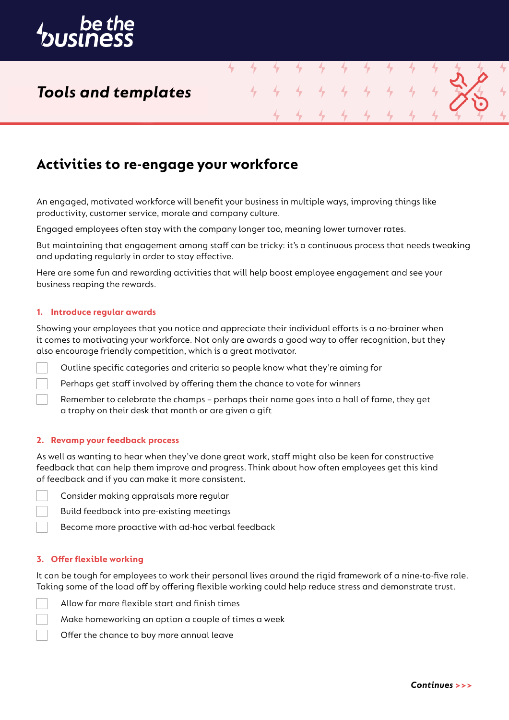

## *Tools and templates*

## **Activities to re-engage your workforce**

An engaged, motivated workforce will benefit your business in multiple ways, improving things like productivity, customer service, morale and company culture.

4

Engaged employees often stay with the company longer too, meaning lower turnover rates.

But maintaining that engagement among staff can be tricky: it's a continuous process that needs tweaking and updating regularly in order to stay effective.

Here are some fun and rewarding activities that will help boost employee engagement and see your business reaping the rewards.

### **1. Introduce regular awards**

Showing your employees that you notice and appreciate their individual efforts is a no-brainer when it comes to motivating your workforce. Not only are awards a good way to offer recognition, but they also encourage friendly competition, which is a great motivator.

Outline specific categories and criteria so people know what they're aiming for

Perhaps get staff involved by offering them the chance to vote for winners

Remember to celebrate the champs – perhaps their name goes into a hall of fame, they get a trophy on their desk that month or are given a gift

### **2. Revamp your feedback process**

As well as wanting to hear when they've done great work, staff might also be keen for constructive feedback that can help them improve and progress. Think about how often employees get this kind of feedback and if you can make it more consistent.

Consider making appraisals more regular

Build feedback into pre-existing meetings

Become more proactive with ad-hoc verbal feedback

## **3. Offer flexible working**

It can be tough for employees to work their personal lives around the rigid framework of a nine-to-five role. Taking some of the load off by offering flexible working could help reduce stress and demonstrate trust.

Allow for more flexible start and finish times

Make homeworking an option a couple of times a week

Offer the chance to buy more annual leave